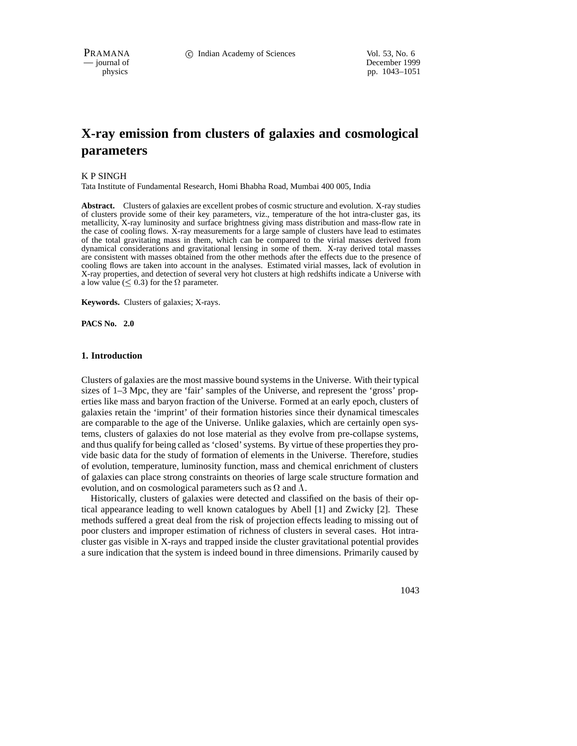PRAMANA 
<sup>C</sup> Indian Academy of Sciences 
<sup>Vol. 53, No. 6<br>
— journal of **C** Indian Academy of Sciences
<sup>Vol. 53, No. 6</sup></sup>

# **X-ray emission from clusters of galaxies and cosmological parameters**

K P SINGH

Tata Institute of Fundamental Research, Homi Bhabha Road, Mumbai 400 005, India

**Abstract.** Clusters of galaxies are excellent probes of cosmic structure and evolution. X-ray studies of clusters provide some of their key parameters, viz., temperature of the hot intra-cluster gas, its metallicity, X-ray luminosity and surface brightness giving mass distribution and mass-flow rate in the case of cooling flows. X-ray measurements for a large sample of clusters have lead to estimates of the total gravitating mass in them, which can be compared to the virial masses derived from dynamical considerations and gravitational lensing in some of them. X-ray derived total masses are consistent with masses obtained from the other methods after the effects due to the presence of cooling flows are taken into account in the analyses. Estimated virial masses, lack of evolution in X-ray properties, and detection of several very hot clusters at high redshifts indicate a Universe with a low value ( $\leq 0.3$ ) for the  $\Omega$  parameter.

**Keywords.** Clusters of galaxies; X-rays.

**PACS No. 2.0**

## **1. Introduction**

Clusters of galaxies are the most massive bound systems in the Universe. With their typical sizes of 1–3 Mpc, they are 'fair' samples of the Universe, and represent the 'gross' properties like mass and baryon fraction of the Universe. Formed at an early epoch, clusters of galaxies retain the 'imprint' of their formation histories since their dynamical timescales are comparable to the age of the Universe. Unlike galaxies, which are certainly open systems, clusters of galaxies do not lose material as they evolve from pre-collapse systems, and thus qualify for being called as 'closed' systems. By virtue of these properties they provide basic data for the study of formation of elements in the Universe. Therefore, studies of evolution, temperature, luminosity function, mass and chemical enrichment of clusters of galaxies can place strong constraints on theories of large scale structure formation and evolution, and on cosmological parameters such as  $\Omega$  and  $\Lambda$ .

Historically, clusters of galaxies were detected and classified on the basis of their optical appearance leading to well known catalogues by Abell [1] and Zwicky [2]. These methods suffered a great deal from the risk of projection effects leading to missing out of poor clusters and improper estimation of richness of clusters in several cases. Hot intracluster gas visible in X-rays and trapped inside the cluster gravitational potential provides a sure indication that the system is indeed bound in three dimensions. Primarily caused by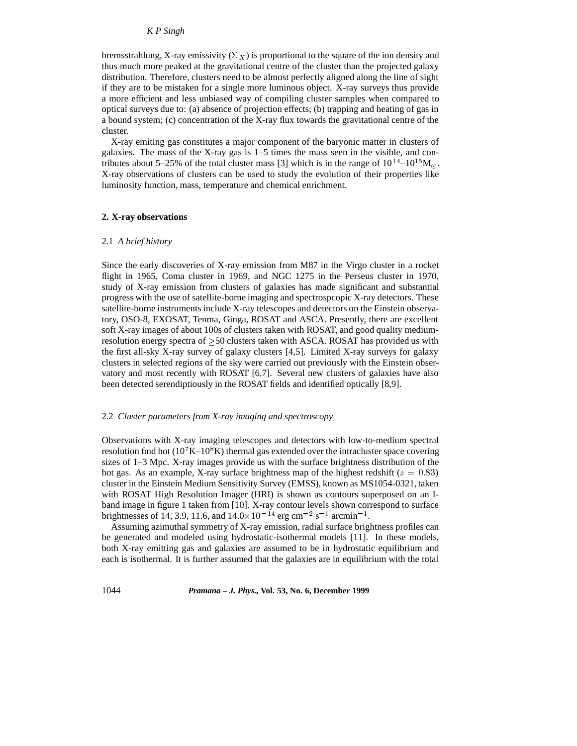bremsstrahlung, X-ray emissivity  $(\Sigma_X)$  is proportional to the square of the ion density and thus much more peaked at the gravitational centre of the cluster than the projected galaxy distribution. Therefore, clusters need to be almost perfectly aligned along the line of sight if they are to be mistaken for a single more luminous object. X-ray surveys thus provide a more efficient and less unbiased way of compiling cluster samples when compared to optical surveys due to: (a) absence of projection effects; (b) trapping and heating of gas in a bound system; (c) concentration of the X-ray flux towards the gravitational centre of the cluster.

X-ray emiting gas constitutes a major component of the baryonic matter in clusters of galaxies. The mass of the X-ray gas is  $1-5$  times the mass seen in the visible, and contributes about 5–25% of the total cluster mass [3] which is in the range of  $10^{14}$ – $10^{15}$ M<sub>o</sub>. X-ray observations of clusters can be used to study the evolution of their properties like luminosity function, mass, temperature and chemical enrichment.

# **2. X-ray observations**

### 2.1 *A brief history*

Since the early discoveries of X-ray emission from M87 in the Virgo cluster in a rocket flight in 1965, Coma cluster in 1969, and NGC 1275 in the Perseus cluster in 1970, study of X-ray emission from clusters of galaxies has made significant and substantial progress with the use of satellite-borne imaging and spectrospcopic X-ray detectors. These satellite-borne instruments include X-ray telescopes and detectors on the Einstein observatory, OSO-8, EXOSAT, Tenma, Ginga, ROSAT and ASCA. Presently, there are excellent soft X-ray images of about 100s of clusters taken with ROSAT, and good quality mediumresolution energy spectra of  $\geq$  50 clusters taken with ASCA. ROSAT has provided us with the first all-sky X-ray survey of galaxy clusters [4,5]. Limited X-ray surveys for galaxy clusters in selected regions of the sky were carried out previously with the Einstein observatory and most recently with ROSAT [6,7]. Several new clusters of galaxies have also been detected serendiptiously in the ROSAT fields and identified optically [8,9].

#### 2.2 *Cluster parameters from X-ray imaging and spectroscopy*

Observations with X-ray imaging telescopes and detectors with low-to-medium spectral resolution find hot ( $10^7$ K $-10^8$ K) thermal gas extended over the intracluster space covering sizes of 1–3 Mpc. X-ray images provide us with the surface brightness distribution of the hot gas. As an example, X-ray surface brightness map of the highest redshift ( $z = 0.83$ ) cluster in the Einstein Medium Sensitivity Survey (EMSS), known as MS1054-0321, taken with ROSAT High Resolution Imager (HRI) is shown as contours superposed on an Iband image in figure 1 taken from [10]. X-ray contour levels shown correspond to surface brightnesses of 14, 3.9, 11.6, and  $14.0 \times 10^{-14}$  erg cm<sup>-2</sup> s<sup>-1</sup> arcmin<sup>-1</sup>.

Assuming azimuthal symmetry of X-ray emission, radial surface brightness profiles can be generated and modeled using hydrostatic-isothermal models [11]. In these models, both X-ray emitting gas and galaxies are assumed to be in hydrostatic equilibrium and each is isothermal. It is further assumed that the galaxies are in equilibrium with the total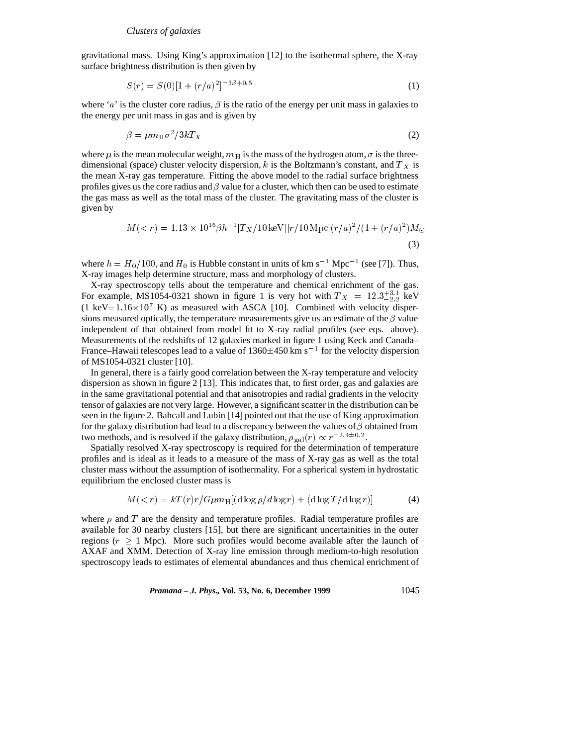gravitational mass. Using King's approximation [12] to the isothermal sphere, the X-ray surface brightness distribution is then given by

$$
S(r) = S(0)[1 + (r/a)^2]^{-3\beta + 0.5}
$$
 (1)

where 'a' is the cluster core radius,  $\beta$  is the ratio of the energy per unit mass in galaxies to the energy per unit mass in gas and is given by

$$
\beta = \mu m_{\rm H} \sigma^2 / 3kT_X \tag{2}
$$

where  $\mu$  is the mean molecular weight,  $m_H$  is the mass of the hydrogen atom,  $\sigma$  is the threedimensional (space) cluster velocity dispersion, k is the Boltzmann's constant, and  $T_X$  is the mean X-ray gas temperature. Fitting the above model to the radial surface brightness profiles gives us the core radius and  $\beta$  value for a cluster, which then can be used to estimate the gas mass as well as the total mass of the cluster. The gravitating mass of the cluster is given by

$$
M(\n(3)
$$

where  $h = H_0/100$ , and  $H_0$  is Hubble constant in units of km s<sup>-1</sup> Mpc<sup>-1</sup> (see [7]). Thus, X-ray images help determine structure, mass and morphology of clusters.

X-ray spectroscopy tells about the temperature and chemical enrichment of the gas. For example, MS1054-0321 shown in figure 1 is very hot with  $T_X = 12.3^{+3.1}_{-2.2}$  keV  $(1 \text{ keV}=1.16\times10^{7} \text{ K})$  as measured with ASCA [10]. Combined with velocity dispersions measured optically, the temperature measurements give us an estimate of the  $\beta$  value independent of that obtained from model fit to X-ray radial profiles (see eqs. above). Measurements of the redshifts of 12 galaxies marked in figure 1 using Keck and Canada– France–Hawaii telescopes lead to a value of  $1360\pm 450$  km s<sup>-1</sup> for the velocity dispersion of MS1054-0321 cluster [10].

In general, there is a fairly good correlation between the X-ray temperature and velocity dispersion as shown in figure 2 [13]. This indicates that, to first order, gas and galaxies are in the same gravitational potential and that anisotropies and radial gradients in the velocity tensor of galaxies are not very large. However, a significant scatter in the distribution can be seen in the figure 2. Bahcall and Lubin [14] pointed out that the use of King approximation for the galaxy distribution had lead to a discrepancy between the values of  $\beta$  obtained from two methods, and is resolved if the galaxy distribution,  $\rho_{\rm gal}(r) \propto r^{-2.4 \pm 0.2}$ .

Spatially resolved X-ray spectroscopy is required for the determination of temperature profiles and is ideal as it leads to a measure of the mass of X-ray gas as well as the total cluster mass without the assumption of isothermality. For a spherical system in hydrostatic equilibrium the enclosed cluster mass is

$$
M(
$$

where  $\rho$  and  $T$  are the density and temperature profiles. Radial temperature profiles are available for 30 nearby clusters [15], but there are significant uncertainities in the outer regions ( $r \geq 1$  Mpc). More such profiles would become available after the launch of AXAF and XMM. Detection of X-ray line emission through medium-to-high resolution spectroscopy leads to estimates of elemental abundances and thus chemical enrichment of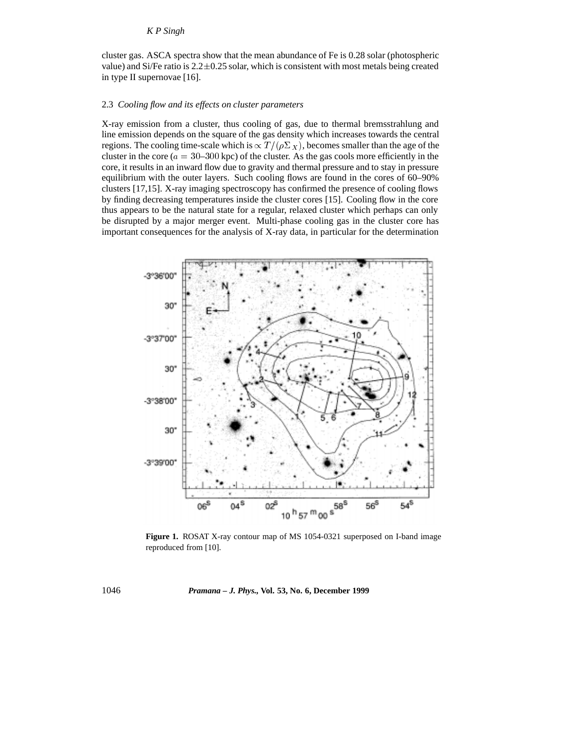cluster gas. ASCA spectra show that the mean abundance of Fe is 0.28 solar (photospheric value) and Si/Fe ratio is  $2.2 \pm 0.25$  solar, which is consistent with most metals being created in type II supernovae [16].

### 2.3 *Cooling flow and its effects on cluster parameters*

X-ray emission from a cluster, thus cooling of gas, due to thermal bremsstrahlung and line emission depends on the square of the gas density which increases towards the central regions. The cooling time-scale which is  $\propto T / (\rho \Sigma_X)$ , becomes smaller than the age of the cluster in the core ( $a = 30-300$  kpc) of the cluster. As the gas cools more efficiently in the core, it results in an inward flow due to gravity and thermal pressure and to stay in pressure equilibrium with the outer layers. Such cooling flows are found in the cores of 60–90% clusters [17,15]. X-ray imaging spectroscopy has confirmed the presence of cooling flows by finding decreasing temperatures inside the cluster cores [15]. Cooling flow in the core thus appears to be the natural state for a regular, relaxed cluster which perhaps can only be disrupted by a major merger event. Multi-phase cooling gas in the cluster core has important consequences for the analysis of X-ray data, in particular for the determination



**Figure 1.** ROSAT X-ray contour map of MS 1054-0321 superposed on I-band image reproduced from [10].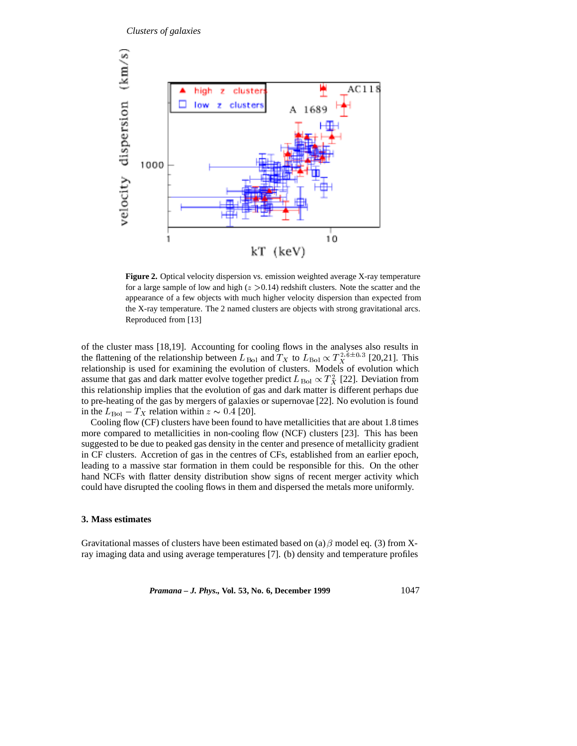

**Figure 2.** Optical velocity dispersion vs. emission weighted average X-ray temperature for a large sample of low and high  $(z > 0.14)$  redshift clusters. Note the scatter and the appearance of a few objects with much higher velocity dispersion than expected from the X-ray temperature. The 2 named clusters are objects with strong gravitational arcs. Reproduced from [13]

of the cluster mass [18,19]. Accounting for cooling flows in the analyses also results in the flattening of the relationship between  $L_{Bol}$  and  $T_X$  to  $L_{Bol} \propto T_X^{2.6 \pm 0.3}$  [20,21]. This relationship is used for examining the evolution of clusters. Models of evolution which assume that gas and dark matter evolve together predict  $L_{\text{Bol}} \propto T_X^2$  [22]. Deviation from this relationship implies that the evolution of gas and dark matter is different perhaps due to pre-heating of the gas by mergers of galaxies or supernovae [22]. No evolution is found in the  $L_{\text{Bol}} - T_X$  relation within  $z \sim 0.4$  [20].

Cooling flow (CF) clusters have been found to have metallicities that are about 1.8 times more compared to metallicities in non-cooling flow (NCF) clusters [23]. This has been suggested to be due to peaked gas density in the center and presence of metallicity gradient in CF clusters. Accretion of gas in the centres of CFs, established from an earlier epoch, leading to a massive star formation in them could be responsible for this. On the other hand NCFs with flatter density distribution show signs of recent merger activity which could have disrupted the cooling flows in them and dispersed the metals more uniformly.

## **3. Mass estimates**

Gravitational masses of clusters have been estimated based on (a)  $\beta$  model eq. (3) from Xray imaging data and using average temperatures [7]. (b) density and temperature profiles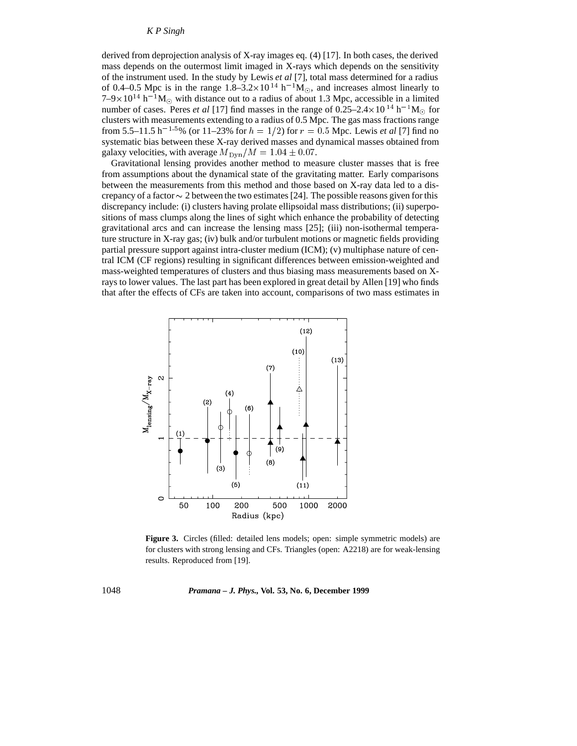derived from deprojection analysis of X-ray images eq. (4) [17]. In both cases, the derived mass depends on the outermost limit imaged in X-rays which depends on the sensitivity of the instrument used. In the study by Lewis *et al* [7], total mass determined for a radius of 0.4–0.5 Mpc is in the range  $1.8-3.2\times10^{14}$  h<sup>-1</sup>M<sub>o</sub>, and increases almost linearly to  $7-9\times10^{14}$  h<sup>-1</sup>M<sub>o</sub> with distance out to a radius of about 1.3 Mpc, accessible in a limited number of cases. Peres *et al* [17] find masses in the range of  $0.25-2.4 \times 10^{14}$  h<sup>-1</sup>M<sub>o</sub> for clusters with measurements extending to a radius of 0.5 Mpc. The gas mass fractions range from 5.5–11.5 h<sup>-1.5</sup>% (or 11–23% for  $h = 1/2$ ) for  $r = 0.5$  Mpc. Lewis *et al* [7] find no systematic bias between these X-ray derived masses and dynamical masses obtained from galaxy velocities, with average  $M_{\text{Dyn}}/M = 1.04 \pm 0.07$ .

Gravitational lensing provides another method to measure cluster masses that is free from assumptions about the dynamical state of the gravitating matter. Early comparisons between the measurements from this method and those based on X-ray data led to a discrepancy of a factor  $\sim$  2 between the two estimates [24]. The possible reasons given for this discrepancy include: (i) clusters having prolate ellipsoidal mass distributions; (ii) superpositions of mass clumps along the lines of sight which enhance the probability of detecting gravitational arcs and can increase the lensing mass [25]; (iii) non-isothermal temperature structure in X-ray gas; (iv) bulk and/or turbulent motions or magnetic fields providing partial pressure support against intra-cluster medium (ICM); (v) multiphase nature of central ICM (CF regions) resulting in significant differences between emission-weighted and mass-weighted temperatures of clusters and thus biasing mass measurements based on Xrays to lower values. The last part has been explored in great detail by Allen [19] who finds that after the effects of CFs are taken into account, comparisons of two mass estimates in



**Figure 3.** Circles (filled: detailed lens models; open: simple symmetric models) are for clusters with strong lensing and CFs. Triangles (open: A2218) are for weak-lensing results. Reproduced from [19].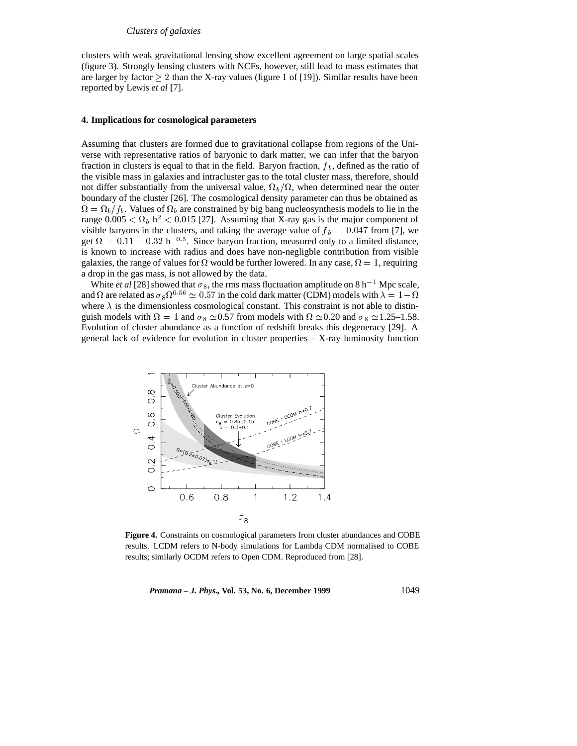clusters with weak gravitational lensing show excellent agreement on large spatial scales (figure 3). Strongly lensing clusters with NCFs, however, still lead to mass estimates that are larger by factor  $> 2$  than the X-ray values (figure 1 of [19]). Similar results have been reported by Lewis *et al* [7].

#### **4. Implications for cosmological parameters**

Assuming that clusters are formed due to gravitational collapse from regions of the Universe with representative ratios of baryonic to dark matter, we can infer that the baryon fraction in clusters is equal to that in the field. Baryon fraction,  $f<sub>b</sub>$ , defined as the ratio of the visible mass in galaxies and intracluster gas to the total cluster mass, therefore, should not differ substantially from the universal value,  $\Omega_b/\Omega$ , when determined near the outer boundary of the cluster [26]. The cosmological density parameter can thus be obtained as  $\Omega = \Omega_b / f_b$ . Values of  $\Omega_b$  are constrained by big bang nucleosynthesis models to lie in the range  $0.005 < \Omega_b$  h<sup>2</sup>  $< 0.015$  [27]. Assuming that X-ray gas is the major component of visible baryons in the clusters, and taking the average value of  $f_b = 0.047$  from [7], we get  $\Omega = 0.11 - 0.32 h^{-0.5}$ . Since baryon fraction, measured only to a limited distance, is known to increase with radius and does have non-negligble contribution from visible galaxies, the range of values for  $\Omega$  would be further lowered. In any case,  $\Omega = 1$ , requiring a drop in the gas mass, is not allowed by the data.

White *et al* [28] showed that  $\sigma_8$ , the rms mass fluctuation amplitude on 8 h<sup>-1</sup> Mpc scale, and  $\Omega$  are related as  $\sigma_8 \Omega^{0.56} \simeq 0.57$  in the cold dark matter (CDM) models with  $\lambda = 1 - \Omega$ where  $\lambda$  is the dimensionless cosmological constant. This constraint is not able to distinguish models with  $\Omega = 1$  and  $\sigma_8 \simeq 0.57$  from models with  $\Omega \simeq 0.20$  and  $\sigma_8 \simeq 1.25-1.58$ . Evolution of cluster abundance as a function of redshift breaks this degeneracy [29]. A general lack of evidence for evolution in cluster properties  $-$  X-ray luminosity function



**Figure 4.** Constraints on cosmological parameters from cluster abundances and COBE results. LCDM refers to N-body simulations for Lambda CDM normalised to COBE results; similarly OCDM refers to Open CDM. Reproduced from [28].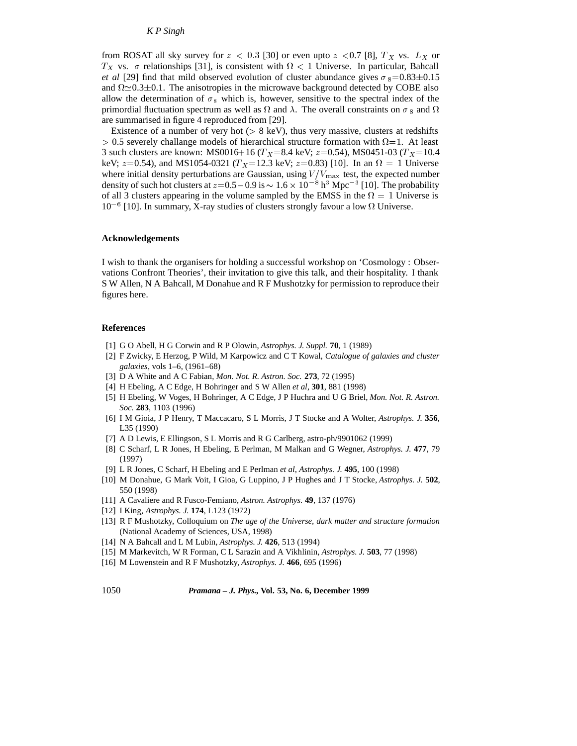from ROSAT all sky survey for  $z < 0.3$  [30] or even upto  $z < 0.7$  [8],  $T_X$  vs.  $L_X$  or  $T_X$  vs.  $\sigma$  relationships [31], is consistent with  $\Omega < 1$  Universe. In particular, Bahcall *et al* [29] find that mild observed evolution of cluster abundance gives  $\sigma_8 = 0.83 \pm 0.15$ and  $\Omega \simeq 0.3\pm 0.1$ . The anisotropies in the microwave background detected by COBE also allow the determination of  $\sigma_8$  which is, however, sensitive to the spectral index of the primordial fluctuation spectrum as well as  $\Omega$  and  $\lambda$ . The overall constraints on  $\sigma_8$  and  $\Omega$ are summarised in figure 4 reproduced from [29].

Existence of a number of very hot  $(> 8 \text{ keV})$ , thus very massive, clusters at redshifts  $> 0.5$  severely challange models of hierarchical structure formation with  $\Omega = 1$ . At least 3 such clusters are known: MS0016+16 ( $T_X$ =8.4 keV;  $z$ =0.54), MS0451-03 ( $T_X$ =10.4 keV;  $z=0.54$ ), and MS1054-0321 ( $T_X=12.3$  keV;  $z=0.83$ ) [10]. In an  $\Omega = 1$  Universe where initial density perturbations are Gaussian, using  $V/V_{\text{max}}$  test, the expected number density of such hot clusters at  $z=0.5-0.9$  is  $\sim 1.6 \times 10^{-8}$  h<sup>3</sup> Mpc<sup>-3</sup> [10]. The probability of all 3 clusters appearing in the volume sampled by the EMSS in the  $\Omega = 1$  Universe is  $10^{-6}$  [10]. In summary, X-ray studies of clusters strongly favour a low  $\Omega$  Universe.

#### **Acknowledgements**

I wish to thank the organisers for holding a successful workshop on 'Cosmology : Observations Confront Theories', their invitation to give this talk, and their hospitality. I thank S W Allen, N A Bahcall, M Donahue and R F Mushotzky for permission to reproduce their figures here.

#### **References**

- [1] G O Abell, H G Corwin and R P Olowin, *Astrophys. J. Suppl.* **70**, 1 (1989)
- [2] F Zwicky, E Herzog, P Wild, M Karpowicz and C T Kowal, *Catalogue of galaxies and cluster galaxies*, vols 1–6, (1961–68)
- [3] D A White and A C Fabian, *Mon. Not. R. Astron. Soc.* **273**, 72 (1995)
- [4] H Ebeling, A C Edge, H Bohringer and S W Allen *et al*, **301**, 881 (1998)
- [5] H Ebeling, W Voges, H Bohringer, A C Edge, J P Huchra and U G Briel, *Mon. Not. R. Astron. Soc.* **283**, 1103 (1996)
- [6] I M Gioia, J P Henry, T Maccacaro, S L Morris, J T Stocke and A Wolter, *Astrophys. J.* **356**, L35 (1990)
- [7] A D Lewis, E Ellingson, S L Morris and R G Carlberg, astro-ph/9901062 (1999)
- [8] C Scharf, L R Jones, H Ebeling, E Perlman, M Malkan and G Wegner, *Astrophys. J.* **477**, 79 (1997)
- [9] L R Jones, C Scharf, H Ebeling and E Perlman *et al*, *Astrophys. J.* **495**, 100 (1998)
- [10] M Donahue, G Mark Voit, I Gioa, G Luppino, J P Hughes and J T Stocke, *Astrophys. J.* **502**, 550 (1998)
- [11] A Cavaliere and R Fusco-Femiano, *Astron. Astrophys.* **49**, 137 (1976)
- [12] I King, *Astrophys. J.* **174**, L123 (1972)
- [13] R F Mushotzky, Colloquium on *The age of the Universe, dark matter and structure formation* (National Academy of Sciences, USA, 1998)
- [14] N A Bahcall and L M Lubin, *Astrophys. J.* **426**, 513 (1994)
- [15] M Markevitch, W R Forman, C L Sarazin and A Vikhlinin, *Astrophys. J.* **503**, 77 (1998)
- [16] M Lowenstein and R F Mushotzky, *Astrophys. J.* **466**, 695 (1996)